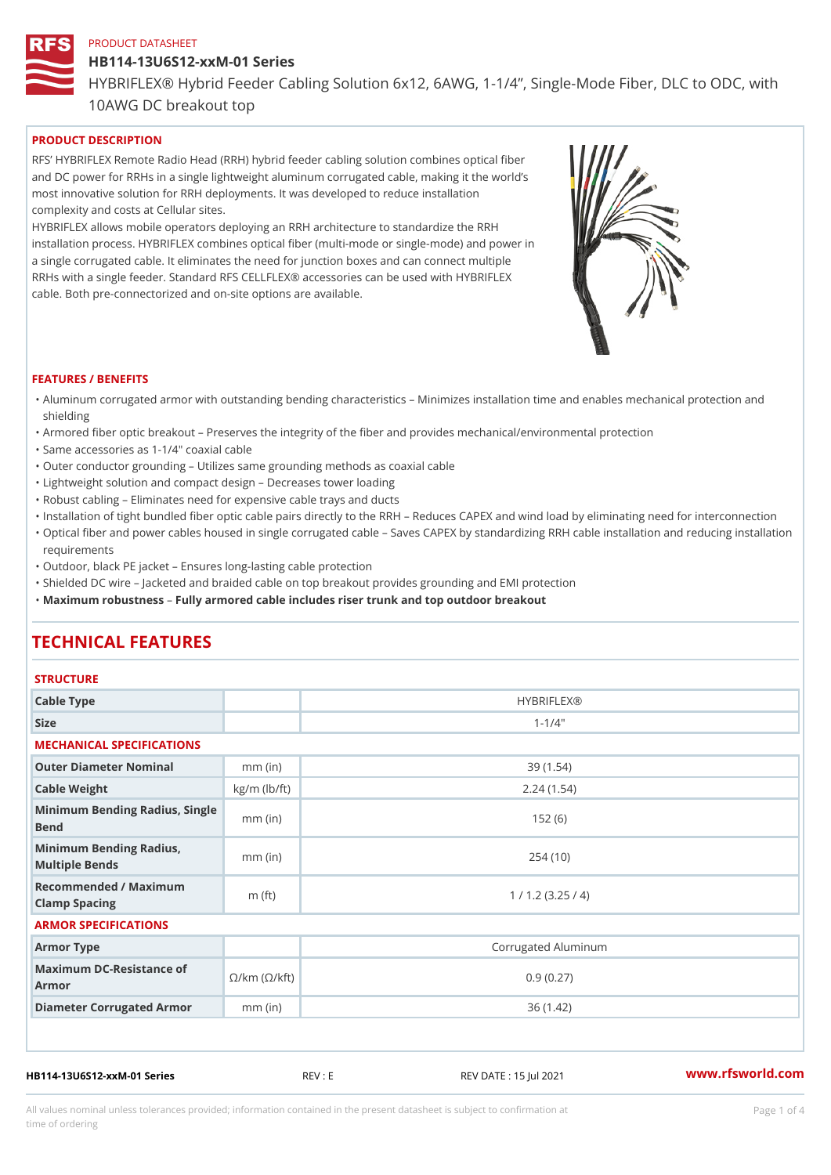#### HB114-13U6S12-xxM-01 Series

HYBRIFLEX® Hybrid Feeder Cabling Solution 6x12, 6AWG, 1-1/4, Sing

10AWG DC breakout top

## PRODUCT DESCRIPTION

RFS HYBRIFLEX Remote Radio Head (RRH) hybrid feeder cabling solution combines optical fibe and DC power for RRHs in a single lightweight aluminum corrugated cable, making it the world s most innovative solution for RRH deployments. It was developed to reduce installation complexity and costs at Cellular sites.

HYBRIFLEX allows mobile operators deploying an RRH architecture to standardize the RRH installation process. HYBRIFLEX combines optical fiber (multi-mode or single-mode) and power in a single corrugated cable. It eliminates the need for junction boxes and can connect multiple RRHs with a single feeder. Standard RFS CELLFLEX® accessories can be used with HYBRIFLEX cable. Both pre-connectorized and on-site options are available.

#### FEATURES / BENEFITS

- "Aluminum corrugated armor with outstanding bending characteristics Minimizes installation time a shielding
- "Armored fiber optic breakout Preserves the integrity of the fiber and provides mechanical/enviror
- "Same accessories as 1-1/4" coaxial cable
- "Outer conductor grounding Utilizes same grounding methods as coaxial cable
- "Lightweight solution and compact design Decreases tower loading
- "Robust cabling Eliminates need for expensive cable trays and ducts
- "Installation of tight bundled fiber optic cable pairs directly to the RRH  $\;$  Reduces CAPEX and wind "Optical fiber and power cables housed in single corrugated cable  $\,$  Saves CAPEX by standardiz $\,$ ng  $\,$ requirements
- "Outdoor, black PE jacket Ensures long-lasting cable protection
- "Shielded DC wire Jacketed and braided cable on top breakout provides grounding and EMI protec "Maximum robustness by armored cable includes riser trunk and top outdoor breakout

# TECHNICAL FEATURES

## **STRUCTURE**

| .                                                                      |                    |                     |  |  |  |  |  |
|------------------------------------------------------------------------|--------------------|---------------------|--|--|--|--|--|
| Cable Type                                                             |                    | <b>HYBRIFLEX®</b>   |  |  |  |  |  |
| Size                                                                   |                    | $1 - 1/4$ "         |  |  |  |  |  |
| MECHANICAL SPECIFICATIONS                                              |                    |                     |  |  |  |  |  |
| Outer Diameter Nominal                                                 | $mm$ (in)          | 39(1.54)            |  |  |  |  |  |
| Cable Weight                                                           | $kg/m$ ( $lb/ft$ ) | 2.24(1.54)          |  |  |  |  |  |
| Minimum Bending Radius, Single<br>Bend                                 |                    | 152(6)              |  |  |  |  |  |
| Minimum Bending Radius, mm (in)<br>Multiple Bends                      |                    | 254(10)             |  |  |  |  |  |
| Recommended / Maximum<br>Clamp Spacing                                 | m $(ft)$           | 1 / 1.2 (3.25 / 4)  |  |  |  |  |  |
| ARMOR SPECIFICATIONS                                                   |                    |                     |  |  |  |  |  |
| Armor Type                                                             |                    | Corrugated Aluminum |  |  |  |  |  |
| Maximum DC-Resistance $\mathcal{S}/k$ m ( $\mathcal{O}/k$ ft)<br>Armor |                    | 0.9(0.27)           |  |  |  |  |  |
| Diameter Corrugated Armomm (in)                                        |                    | 36 (1.42)           |  |  |  |  |  |
|                                                                        |                    |                     |  |  |  |  |  |

HB114-13U6S12-xxM-01 Series REV : E REV DATE : 15 Jul 2021 WWW.rfsworld.com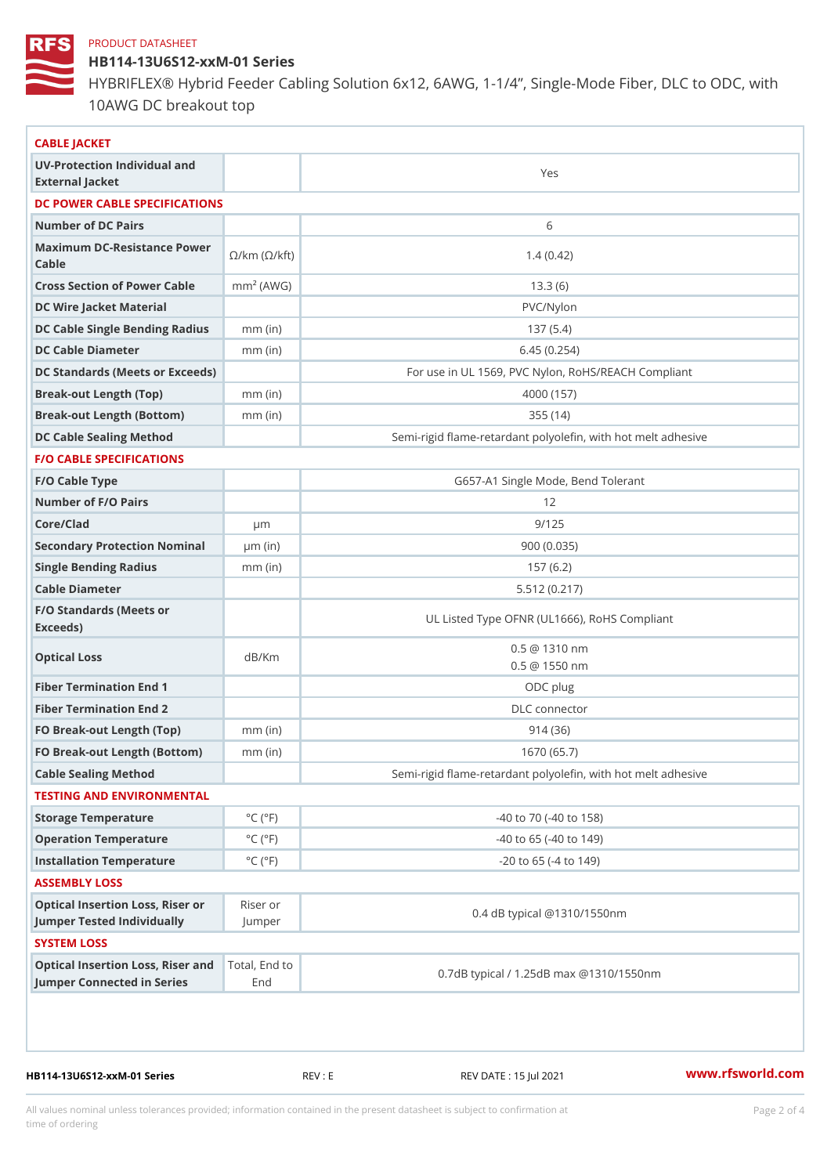HB114-13U6S12-xxM-01 Series

HYBRIFLEX® Hybrid Feeder Cabling Solution 6x12, 6AWG, 1-1/4, Sing 10AWG DC breakout top

| CABLE JACKET                                                                                                                    |                               |                                                          |  |  |
|---------------------------------------------------------------------------------------------------------------------------------|-------------------------------|----------------------------------------------------------|--|--|
| UV-Protection Individual and                                                                                                    |                               | Yes                                                      |  |  |
| External Jacket                                                                                                                 |                               |                                                          |  |  |
| DC POWER CABLE SPECIFICATIONS                                                                                                   |                               |                                                          |  |  |
| Number of DC Pairs                                                                                                              |                               | 6                                                        |  |  |
| Maximum DC-Resistance $\bigotimes_{k=m}^{\infty}$ ( $\bigotimes_{k=m}^{\infty}$ /km ( $\bigotimes_{k=1}^{\infty}$ )<br>$C$ able |                               | 1.4(0.42)                                                |  |  |
| Cross Section of Power Cnamb Pe (A W G)                                                                                         |                               | 13.3(6)                                                  |  |  |
| DC Wire Jacket Material                                                                                                         |                               | PVC/Nylon                                                |  |  |
| DC Cable Single Bending Rmamdi(uish                                                                                             |                               | 137(5.4)                                                 |  |  |
| DC Cable Diameter                                                                                                               | $mm$ (in)                     | 6.45(0.254)                                              |  |  |
| DC Standards (Meets or Exceeds)                                                                                                 |                               | For use in UL 1569, PVC Nylon, RoHS/REACH Compli         |  |  |
| Break-out Length (Top)                                                                                                          | $mm$ (in)                     | 4000 (157)                                               |  |  |
| Break-out Length (Bottcm)mm (in)                                                                                                |                               | 355(14)                                                  |  |  |
| DC Cable Sealing Method                                                                                                         |                               | Semi-rigid flame-retardant polyolefin, with hot melt adl |  |  |
| <b>F/O CABLE SPECIFICATIONS</b>                                                                                                 |                               |                                                          |  |  |
| F/O Cable Type                                                                                                                  |                               | G657-A1 Single Mode, Bend Tolerant                       |  |  |
| Number of F/O Pairs                                                                                                             |                               | 12                                                       |  |  |
| Core/Clad                                                                                                                       | $\mu$ m                       | 9/125                                                    |  |  |
| Secondary Protection Nomimal(in)                                                                                                |                               | 900 (0.035)                                              |  |  |
| Single Bending Radius                                                                                                           | $mm$ (in)                     | 157(6.2)                                                 |  |  |
| Cable Diameter                                                                                                                  |                               | 5.512(0.217)                                             |  |  |
| F/O Standards (Meets or<br>Exceeds)                                                                                             |                               | UL Listed Type OFNR (UL1666), RoHS Compliant             |  |  |
| Optical Loss                                                                                                                    | dB/Km                         | $0.5 \t@ 1310 nm$<br>$0.5 \ @ \ 1550 \ nm$               |  |  |
| Fiber Termination End                                                                                                           |                               | ODC plug                                                 |  |  |
| Fiber Termination End 2                                                                                                         |                               | DLC connector                                            |  |  |
| FO Break-out Length (Top)mm (in)                                                                                                |                               | 914(36)                                                  |  |  |
| FO Break-out Length (Bottmm) (in)                                                                                               |                               | 1670 (65.7)                                              |  |  |
| Cable Sealing Method                                                                                                            |                               | Semi-rigid flame-retardant polyolefin, with hot melt adl |  |  |
| TESTING AND ENVIRONMENTAL                                                                                                       |                               |                                                          |  |  |
| Storage Temperature                                                                                                             | $^{\circ}$ C ( $^{\circ}$ F   | $-40$ to $70$ ( $-40$ to $158$ )                         |  |  |
| Operation Temperature                                                                                                           | $^{\circ}$ C ( $^{\circ}$ F   | $-40$ to 65 ( $-40$ to 149)                              |  |  |
| Installation Temperature                                                                                                        | $^{\circ}$ C ( $^{\circ}$ F   | $-20$ to 65 ( $-4$ to 149)                               |  |  |
| ASSEMBLY LOSS                                                                                                                   |                               |                                                          |  |  |
| Optical Insertion Loss, Rikes earnor<br>Jumper Tested IndividuallyJumper                                                        |                               | 0.4 dB typical @1310/1550nm                              |  |  |
| SYSTEM LOSS                                                                                                                     |                               |                                                          |  |  |
| Optical Insertion Loss, RTisterl, a Etch d to                                                                                   | Jumper Connected in SeriesEnd | 0.7dB typical / 1.25dB max @1310/1550nm                  |  |  |

HB114-13U6S12-xxM-01 Series REV : E REV DATE : 15 Jul 2021 WWW.rfsworld.com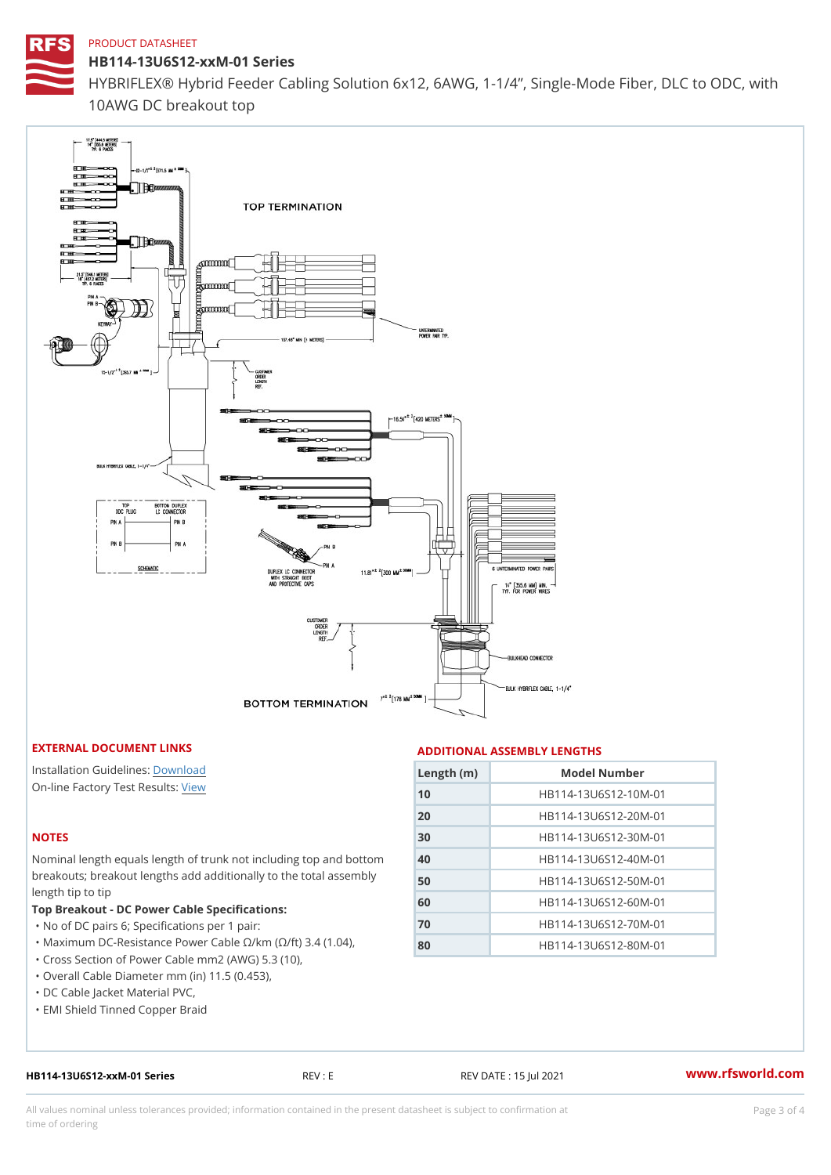HB114-13U6S12-xxM-01 Series HYBRIFLEX® Hybrid Feeder Cabling Solution 6x12, 6AWG, 1-1/4, Sing 10AWG DC breakout top

## EXTERNAL DOCUMENT LINKS

Installation Guildelwinessad On-line Factory Te[s](https://www.rfsworld.com/pictures/userfiles/programs/AAST Latest Version.zip)teResults:

# NOTES

Nominal length equals length of trunk not includ breakouts; breakout lengths add additionally to length tip to tip

Top Breakout - DC Power Cable Specifications:

"No of DC pairs 6; Specifications per 1 pair:

"Maximum DC-Resistance Power Cable !&/km (!&/ "Cross Section of Power Cable mm2 (AWG) 5.3

"Overall Cable Diameter mm (in) 11.5 (0.453),

"DC Cable Jacket Material PVC,

"EMI Shield Tinned Copper Braid

HB114-13U6S12-xxM-01 Series REV : E REV DATE : 15 Jul 2021 [www.](https://www.rfsworld.com)rfsworld.com

All values nominal unless tolerances provided; information contained in the present datasheet is subject to Pcapgeling that i time of ordering

#### ADDITIONAL ASSEMBLY LENGTHS

| Length $(in)$ | Model Number                                     |
|---------------|--------------------------------------------------|
| 10            | HB114-13U6S12-10M-01                             |
| 20            | HB114-13U6S12-20M-01                             |
| 30            | HB114-13U6S12-30M-01                             |
| 40            | nd bottHoBh114-13U6S12-40M-01                    |
| 50            | assem hy   p 1 1 4 - 1 3 U 6 S 1 2 - 5 0 M - 0 1 |
| 60            | HB114-13U6S12-60M-01                             |
| 70            | HB114-13U6S12-70M-01                             |
| 80            | $04$ ),<br>HB114-13U6S12-80M-01                  |
| $10$ ),       |                                                  |